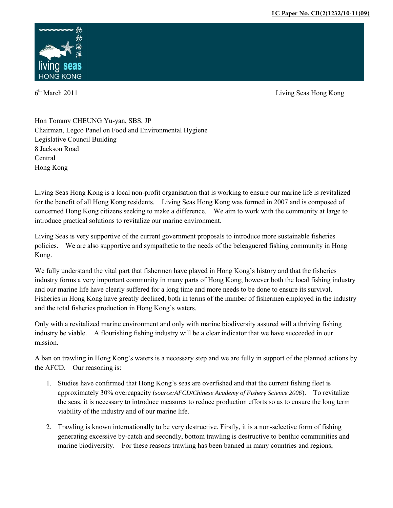

 $6<sup>th</sup> March 2011$ 

Living Seas Hong Kong

Hon Tommy CHEUNG Yu-yan, SBS, JP Chairman, Legco Panel on Food and Environmental Hygiene Legislative Council Building 8 Jackson Road Central Hong Kong

Living Seas Hong Kong is a local non-profit organisation that is working to ensure our marine life is revitalized for the benefit of all Hong Kong residents. Living Seas Hong Kong was formed in 2007 and is composed of concerned Hong Kong citizens seeking to make a difference. We aim to work with the community at large to introduce practical solutions to revitalize our marine environment.

Living Seas is very supportive of the current government proposals to introduce more sustainable fisheries policies. We are also supportive and sympathetic to the needs of the beleaguered fishing community in Hong Kong.

We fully understand the vital part that fishermen have played in Hong Kong's history and that the fisheries industry forms a very important community in many parts of Hong Kong; however both the local fishing industry and our marine life have clearly suffered for a long time and more needs to be done to ensure its survival. Fisheries in Hong Kong have greatly declined, both in terms of the number of fishermen employed in the industry and the total fisheries production in Hong Kong's waters.

Only with a revitalized marine environment and only with marine biodiversity assured will a thriving fishing industry be viable. A flourishing fishing industry will be a clear indicator that we have succeeded in our mission.

A ban on trawling in Hong Kong's waters is a necessary step and we are fully in support of the planned actions by the AFCD. Our reasoning is:

- 1. Studies have confirmed that Hong Kong's seas are overfished and that the current fishing fleet is approximately 30% overcapacity (*source:AFCD/Chinese Academy of Fishery Science 2006*). To revitalize the seas, it is necessary to introduce measures to reduce production efforts so as to ensure the long term viability of the industry and of our marine life.
- 2. Trawling is known internationally to be very destructive. Firstly, it is a non-selective form of fishing generating excessive by-catch and secondly, bottom trawling is destructive to benthic communities and marine biodiversity. For these reasons trawling has been banned in many countries and regions,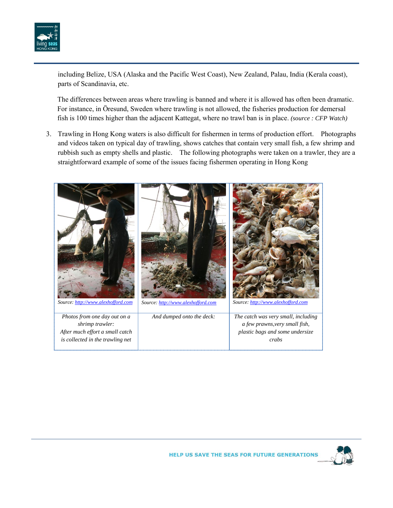

including Belize, USA (Alaska and the Pacific West Coast), New Zealand, Palau, India (Kerala coast), parts of Scandinavia, etc.

The differences between areas where trawling is banned and where it is allowed has often been dramatic. For instance, in Öresund, Sweden where trawling is not allowed, the fisheries production for demersal fish is 100 times higher than the adjacent Kattegat, where no trawl ban is in place. *(source : CFP Watch)* 

3. Trawling in Hong Kong waters is also difficult for fishermen in terms of production effort. Photographs and videos taken on typical day of trawling, shows catches that contain very small fish, a few shrimp and rubbish such as empty shells and plastic. The following photographs were taken on a trawler, they are a straightforward example of some of the issues facing fishermen operating in Hong Kong



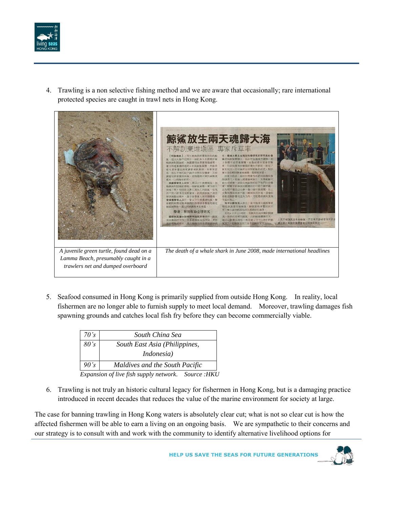

4. Trawling is a non selective fishing method and we are aware that occasionally; rare international protected species are caught in trawl nets in Hong Kong.



5. Seafood consumed in Hong Kong is primarily supplied from outside Hong Kong. In reality, local fishermen are no longer able to furnish supply to meet local demand. Moreover, trawling damages fish spawning grounds and catches local fish fry before they can become commercially viable.

| 70's | South China Sea                |  |
|------|--------------------------------|--|
| 80's | South East Asia (Philippines,  |  |
|      | <i>Indonesia</i> )             |  |
| 90's | Maldives and the South Pacific |  |
|      | $\sim$ $\sim$                  |  |

*Expansion of live fish supply network. Source :HKU* 

6. Trawling is not truly an historic cultural legacy for fishermen in Hong Kong, but is a damaging practice introduced in recent decades that reduces the value of the marine environment for society at large.

The case for banning trawling in Hong Kong waters is absolutely clear cut; what is not so clear cut is how the affected fishermen will be able to earn a living on an ongoing basis. We are sympathetic to their concerns and our strategy is to consult with and work with the community to identify alternative livelihood options for